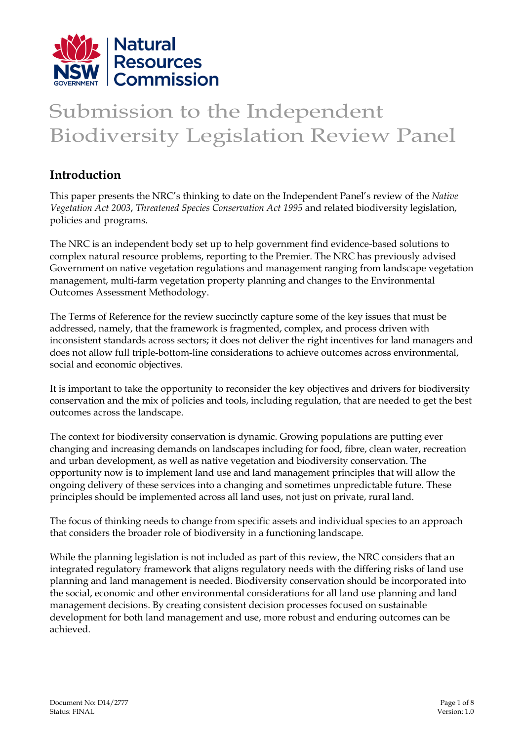

# Submission to the Independent Biodiversity Legislation Review Panel

### **Introduction**

This paper presents the NRC's thinking to date on the Independent Panel's review of the *Native Vegetation Act 2003*, *Threatened Species Conservation Act 1995* and related biodiversity legislation, policies and programs.

The NRC is an independent body set up to help government find evidence-based solutions to complex natural resource problems, reporting to the Premier. The NRC has previously advised Government on native vegetation regulations and management ranging from landscape vegetation management, multi-farm vegetation property planning and changes to the Environmental Outcomes Assessment Methodology.

The Terms of Reference for the review succinctly capture some of the key issues that must be addressed, namely, that the framework is fragmented, complex, and process driven with inconsistent standards across sectors; it does not deliver the right incentives for land managers and does not allow full triple-bottom-line considerations to achieve outcomes across environmental, social and economic objectives.

It is important to take the opportunity to reconsider the key objectives and drivers for biodiversity conservation and the mix of policies and tools, including regulation, that are needed to get the best outcomes across the landscape.

The context for biodiversity conservation is dynamic. Growing populations are putting ever changing and increasing demands on landscapes including for food, fibre, clean water, recreation and urban development, as well as native vegetation and biodiversity conservation. The opportunity now is to implement land use and land management principles that will allow the ongoing delivery of these services into a changing and sometimes unpredictable future. These principles should be implemented across all land uses, not just on private, rural land.

The focus of thinking needs to change from specific assets and individual species to an approach that considers the broader role of biodiversity in a functioning landscape.

While the planning legislation is not included as part of this review, the NRC considers that an integrated regulatory framework that aligns regulatory needs with the differing risks of land use planning and land management is needed. Biodiversity conservation should be incorporated into the social, economic and other environmental considerations for all land use planning and land management decisions. By creating consistent decision processes focused on sustainable development for both land management and use, more robust and enduring outcomes can be achieved.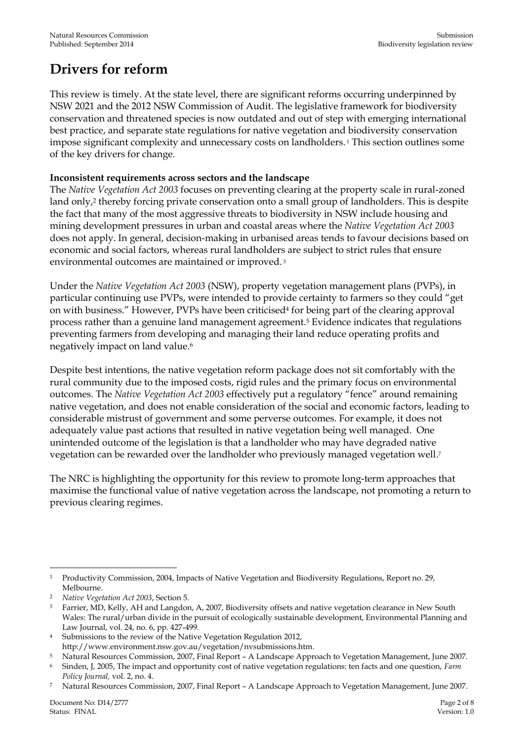### **Drivers for reform**

This review is timely. At the state level, there are significant reforms occurring underpinned by NSW 2021 and the 2012 NSW Commission of Audit. The legislative framework for biodiversity conservation and threatened species is now outdated and out of step with emerging international best practice, and separate state regulations for native vegetation and biodiversity conservation impose significant complexity and unnecessary costs on landholders. <sup>1</sup> This section outlines some of the key drivers for change.

#### **Inconsistent requirements across sectors and the landscape**

The *Native Vegetation Act 2003* focuses on preventing clearing at the property scale in rural-zoned land only, <sup>2</sup> thereby forcing private conservation onto a small group of landholders. This is despite the fact that many of the most aggressive threats to biodiversity in NSW include housing and mining development pressures in urban and coastal areas where the *Native Vegetation Act 2003* does not apply. In general, decision-making in urbanised areas tends to favour decisions based on economic and social factors, whereas rural landholders are subject to strict rules that ensure environmental outcomes are maintained or improved. 3

Under the *Native Vegetation Act 2003* (NSW), property vegetation management plans (PVPs), in particular continuing use PVPs, were intended to provide certainty to farmers so they could "get on with business." However, PVPs have been criticised<sup>4</sup> for being part of the clearing approval process rather than a genuine land management agreement.<sup>5</sup> Evidence indicates that regulations preventing farmers from developing and managing their land reduce operating profits and negatively impact on land value. 6

Despite best intentions, the native vegetation reform package does not sit comfortably with the rural community due to the imposed costs, rigid rules and the primary focus on environmental outcomes. The *Native Vegetation Act 2003* effectively put a regulatory "fence" around remaining native vegetation, and does not enable consideration of the social and economic factors, leading to considerable mistrust of government and some perverse outcomes. For example, it does not adequately value past actions that resulted in native vegetation being well managed. One unintended outcome of the legislation is that a landholder who may have degraded native vegetation can be rewarded over the landholder who previously managed vegetation well. 7

The NRC is highlighting the opportunity for this review to promote long-term approaches that maximise the functional value of native vegetation across the landscape, not promoting a return to previous clearing regimes.

<sup>-</sup><sup>1</sup> Productivity Commission, 2004, Impacts of Native Vegetation and Biodiversity Regulations, Report no. 29, Melbourne.

<sup>2</sup> *Native Vegetation Act 2003*, Section 5.

<sup>&</sup>lt;sup>3</sup> Farrier, MD, Kelly, AH and Langdon, A, 2007, Biodiversity offsets and native vegetation clearance in New South Wales: The rural/urban divide in the pursuit of ecologically sustainable development, Environmental Planning and Law Journal, vol. 24, no. 6, pp. 427-499.

<sup>4</sup> Submissions to the review of the Native Vegetation Regulation 2012, http://www.environment.nsw.gov.au/vegetation/nvsubmissions.htm.

<sup>5</sup> Natural Resources Commission, 2007, Final Report – A Landscape Approach to Vegetation Management, June 2007.

<sup>6</sup> Sinden, J, 2005, The impact and opportunity cost of native vegetation regulations: ten facts and one question, *Farm Policy Journal,* vol. 2, no. 4.

<sup>7</sup> Natural Resources Commission, 2007, Final Report – A Landscape Approach to Vegetation Management, June 2007.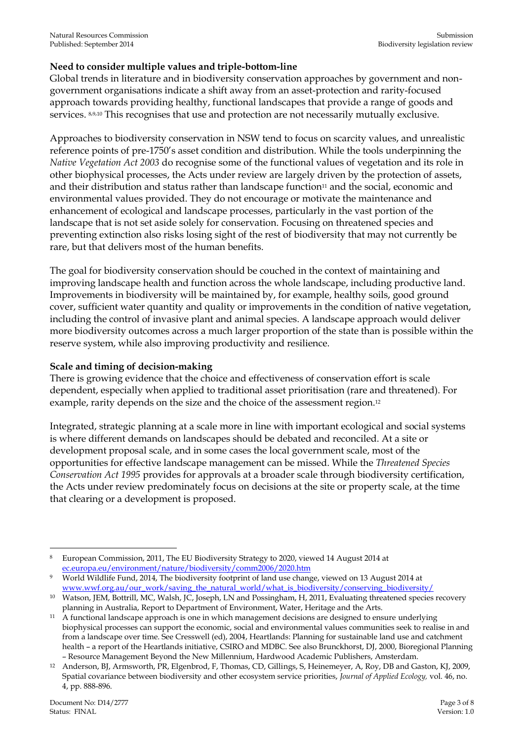#### **Need to consider multiple values and triple-bottom-line**

Global trends in literature and in biodiversity conservation approaches by government and nongovernment organisations indicate a shift away from an asset-protection and rarity-focused approach towards providing healthy, functional landscapes that provide a range of goods and services. 8,9,10 This recognises that use and protection are not necessarily mutually exclusive.

Approaches to biodiversity conservation in NSW tend to focus on scarcity values, and unrealistic reference points of pre-1750's asset condition and distribution. While the tools underpinning the *Native Vegetation Act 2003* do recognise some of the functional values of vegetation and its role in other biophysical processes, the Acts under review are largely driven by the protection of assets, and their distribution and status rather than landscape function<sup>11</sup> and the social, economic and environmental values provided. They do not encourage or motivate the maintenance and enhancement of ecological and landscape processes, particularly in the vast portion of the landscape that is not set aside solely for conservation. Focusing on threatened species and preventing extinction also risks losing sight of the rest of biodiversity that may not currently be rare, but that delivers most of the human benefits.

The goal for biodiversity conservation should be couched in the context of maintaining and improving landscape health and function across the whole landscape, including productive land. Improvements in biodiversity will be maintained by, for example, healthy soils, good ground cover, sufficient water quantity and quality or improvements in the condition of native vegetation, including the control of invasive plant and animal species. A landscape approach would deliver more biodiversity outcomes across a much larger proportion of the state than is possible within the reserve system, while also improving productivity and resilience.

#### **Scale and timing of decision-making**

There is growing evidence that the choice and effectiveness of conservation effort is scale dependent, especially when applied to traditional asset prioritisation (rare and threatened). For example, rarity depends on the size and the choice of the assessment region.<sup>12</sup>

Integrated, strategic planning at a scale more in line with important ecological and social systems is where different demands on landscapes should be debated and reconciled. At a site or development proposal scale, and in some cases the local government scale, most of the opportunities for effective landscape management can be missed. While the *Threatened Species Conservation Act 1995* provides for approvals at a broader scale through biodiversity certification, the Acts under review predominately focus on decisions at the site or property scale, at the time that clearing or a development is proposed.

<sup>-</sup><sup>8</sup> European Commission, 2011, The EU Biodiversity Strategy to 2020, viewed 14 August 2014 at [ec.europa.eu/environment/nature/biodiversity/comm2006/2020.htm](http://ec.europa.eu/environment/nature/biodiversity/comm2006/2020.htm)

<sup>9</sup> World Wildlife Fund, 2014, The biodiversity footprint of land use change, viewed on 13 August 2014 at [www.wwf.org.au/our\\_work/saving\\_the\\_natural\\_world/what\\_is\\_biodiversity/conserving\\_biodiversity/](http://www.wwf.org.au/our_work/saving_the_natural_world/what_is_biodiversity/conserving_biodiversity/)

<sup>10</sup> Watson, JEM, Bottrill, MC, Walsh, JC, Joseph, LN and Possingham, H, 2011, Evaluating threatened species recovery planning in Australia, Report to Department of Environment, Water, Heritage and the Arts.

<sup>&</sup>lt;sup>11</sup> A functional landscape approach is one in which management decisions are designed to ensure underlying biophysical processes can support the economic, social and environmental values communities seek to realise in and from a landscape over time. See Cresswell (ed), 2004, Heartlands: Planning for sustainable land use and catchment health – a report of the Heartlands initiative, CSIRO and MDBC. See also Brunckhorst, DJ, 2000, Bioregional Planning – Resource Management Beyond the New Millennium, Hardwood Academic Publishers, Amsterdam.

<sup>12</sup> Anderson, BJ, Armsworth, PR, Elgenbrod, F, Thomas, CD, Gillings, S, Heinemeyer, A, Roy, DB and Gaston, KJ, 2009, Spatial covariance between biodiversity and other ecosystem service priorities, *Journal of Applied Ecology,* vol. 46, no. 4, pp. 888-896.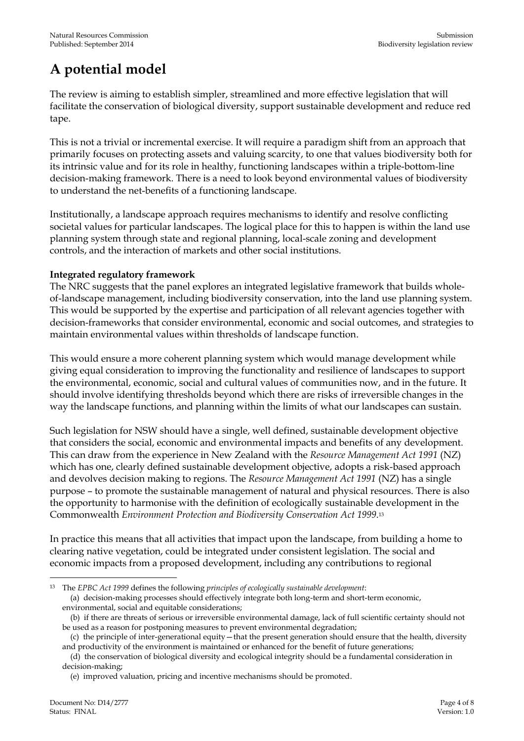## **A potential model**

The review is aiming to establish simpler, streamlined and more effective legislation that will facilitate the conservation of biological diversity, support sustainable development and reduce red tape.

This is not a trivial or incremental exercise. It will require a paradigm shift from an approach that primarily focuses on protecting assets and valuing scarcity, to one that values biodiversity both for its intrinsic value and for its role in healthy, functioning landscapes within a triple-bottom-line decision-making framework. There is a need to look beyond environmental values of biodiversity to understand the net-benefits of a functioning landscape.

Institutionally, a landscape approach requires mechanisms to identify and resolve conflicting societal values for particular landscapes. The logical place for this to happen is within the land use planning system through state and regional planning, local-scale zoning and development controls, and the interaction of markets and other social institutions.

#### **Integrated regulatory framework**

The NRC suggests that the panel explores an integrated legislative framework that builds wholeof-landscape management, including biodiversity conservation, into the land use planning system. This would be supported by the expertise and participation of all relevant agencies together with decision-frameworks that consider environmental, economic and social outcomes, and strategies to maintain environmental values within thresholds of landscape function.

This would ensure a more coherent planning system which would manage development while giving equal consideration to improving the functionality and resilience of landscapes to support the environmental, economic, social and cultural values of communities now, and in the future. It should involve identifying thresholds beyond which there are risks of irreversible changes in the way the landscape functions, and planning within the limits of what our landscapes can sustain.

Such legislation for NSW should have a single, well defined, sustainable development objective that considers the social, economic and environmental impacts and benefits of any development. This can draw from the experience in New Zealand with the *Resource Management Act 1991* (NZ) which has one, clearly defined sustainable development objective, adopts a risk-based approach and devolves decision making to regions. The *Resource Management Act 1991* (NZ) has a single purpose – to promote the sustainable management of natural and physical resources. There is also the opportunity to harmonise with the definition of ecologically sustainable development in the Commonwealth *Environment Protection and Biodiversity Conservation Act 1999*. 13

In practice this means that all activities that impact upon the landscape, from building a home to clearing native vegetation, could be integrated under consistent legislation. The social and economic impacts from a proposed development, including any contributions to regional

<sup>-</sup><sup>13</sup> The *EPBC Act 1999* defines the following *principles of ecologically sustainable development*: (a) decision-making processes should effectively integrate both long-term and short-term economic, environmental, social and equitable considerations;

 <sup>(</sup>b) if there are threats of serious or irreversible environmental damage, lack of full scientific certainty should not be used as a reason for postponing measures to prevent environmental degradation;

 <sup>(</sup>c) the principle of inter-generational equity—that the present generation should ensure that the health, diversity and productivity of the environment is maintained or enhanced for the benefit of future generations;

 <sup>(</sup>d) the conservation of biological diversity and ecological integrity should be a fundamental consideration in decision-making;

 <sup>(</sup>e) improved valuation, pricing and incentive mechanisms should be promoted.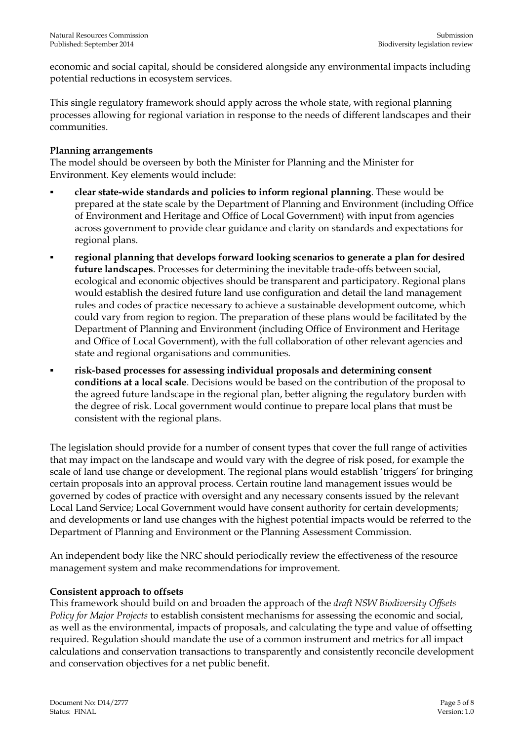economic and social capital, should be considered alongside any environmental impacts including potential reductions in ecosystem services.

This single regulatory framework should apply across the whole state, with regional planning processes allowing for regional variation in response to the needs of different landscapes and their communities.

#### **Planning arrangements**

The model should be overseen by both the Minister for Planning and the Minister for Environment. Key elements would include:

- **clear state-wide standards and policies to inform regional planning**. These would be prepared at the state scale by the Department of Planning and Environment (including Office of Environment and Heritage and Office of Local Government) with input from agencies across government to provide clear guidance and clarity on standards and expectations for regional plans.
- **regional planning that develops forward looking scenarios to generate a plan for desired future landscapes**. Processes for determining the inevitable trade-offs between social, ecological and economic objectives should be transparent and participatory. Regional plans would establish the desired future land use configuration and detail the land management rules and codes of practice necessary to achieve a sustainable development outcome, which could vary from region to region. The preparation of these plans would be facilitated by the Department of Planning and Environment (including Office of Environment and Heritage and Office of Local Government), with the full collaboration of other relevant agencies and state and regional organisations and communities.
- **risk-based processes for assessing individual proposals and determining consent conditions at a local scale**. Decisions would be based on the contribution of the proposal to the agreed future landscape in the regional plan, better aligning the regulatory burden with the degree of risk. Local government would continue to prepare local plans that must be consistent with the regional plans.

The legislation should provide for a number of consent types that cover the full range of activities that may impact on the landscape and would vary with the degree of risk posed, for example the scale of land use change or development. The regional plans would establish 'triggers' for bringing certain proposals into an approval process. Certain routine land management issues would be governed by codes of practice with oversight and any necessary consents issued by the relevant Local Land Service; Local Government would have consent authority for certain developments; and developments or land use changes with the highest potential impacts would be referred to the Department of Planning and Environment or the Planning Assessment Commission.

An independent body like the NRC should periodically review the effectiveness of the resource management system and make recommendations for improvement.

#### **Consistent approach to offsets**

This framework should build on and broaden the approach of the *draft NSW Biodiversity Offsets Policy for Major Projects* to establish consistent mechanisms for assessing the economic and social, as well as the environmental, impacts of proposals, and calculating the type and value of offsetting required. Regulation should mandate the use of a common instrument and metrics for all impact calculations and conservation transactions to transparently and consistently reconcile development and conservation objectives for a net public benefit.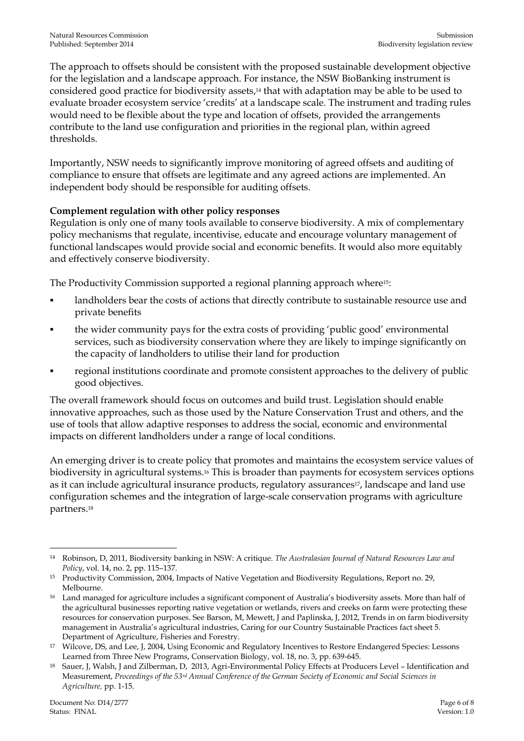The approach to offsets should be consistent with the proposed sustainable development objective for the legislation and a landscape approach. For instance, the NSW BioBanking instrument is considered good practice for biodiversity assets, <sup>14</sup> that with adaptation may be able to be used to evaluate broader ecosystem service 'credits' at a landscape scale. The instrument and trading rules would need to be flexible about the type and location of offsets, provided the arrangements contribute to the land use configuration and priorities in the regional plan, within agreed thresholds.

Importantly, NSW needs to significantly improve monitoring of agreed offsets and auditing of compliance to ensure that offsets are legitimate and any agreed actions are implemented. An independent body should be responsible for auditing offsets.

#### **Complement regulation with other policy responses**

Regulation is only one of many tools available to conserve biodiversity. A mix of complementary policy mechanisms that regulate, incentivise, educate and encourage voluntary management of functional landscapes would provide social and economic benefits. It would also more equitably and effectively conserve biodiversity.

The Productivity Commission supported a regional planning approach where15:

- landholders bear the costs of actions that directly contribute to sustainable resource use and private benefits
- the wider community pays for the extra costs of providing 'public good' environmental services, such as biodiversity conservation where they are likely to impinge significantly on the capacity of landholders to utilise their land for production
- regional institutions coordinate and promote consistent approaches to the delivery of public good objectives.

The overall framework should focus on outcomes and build trust. Legislation should enable innovative approaches, such as those used by the Nature Conservation Trust and others, and the use of tools that allow adaptive responses to address the social, economic and environmental impacts on different landholders under a range of local conditions.

An emerging driver is to create policy that promotes and maintains the ecosystem service values of biodiversity in agricultural systems.<sup>16</sup> This is broader than payments for ecosystem services options as it can include agricultural insurance products, regulatory assurances<sup>17</sup>, landscape and land use configuration schemes and the integration of large-scale conservation programs with agriculture partners.<sup>18</sup>

<sup>-</sup><sup>14</sup> Robinson, D, 2011, Biodiversity banking in NSW: A critique. *The Australasian Journal of Natural Resources Law and Policy*, vol. 14, no. 2, pp. 115–137.

<sup>15</sup> Productivity Commission, 2004, Impacts of Native Vegetation and Biodiversity Regulations, Report no. 29, Melbourne.

<sup>&</sup>lt;sup>16</sup> Land managed for agriculture includes a significant component of Australia's biodiversity assets. More than half of the agricultural businesses reporting native vegetation or wetlands, rivers and creeks on farm were protecting these resources for conservation purposes. See Barson, M, Mewett, J and Paplinska, J, 2012, Trends in on farm biodiversity management in Australia's agricultural industries, Caring for our Country Sustainable Practices fact sheet 5. Department of Agriculture, Fisheries and Forestry.

<sup>&</sup>lt;sup>17</sup> Wilcove, DS, and Lee, J, 2004, Using Economic and Regulatory Incentives to Restore Endangered Species: Lessons Learned from Three New Programs, Conservation Biology, vol. 18, no. 3, pp. 639-645.

<sup>18</sup> Sauer, J, Walsh, J and Zilberman, D, 2013, Agri-Environmental Policy Effects at Producers Level – Identification and Measurement, *Proceedings of the 53rd Annual Conference of the German Society of Economic and Social Sciences in Agriculture,* pp. 1-15.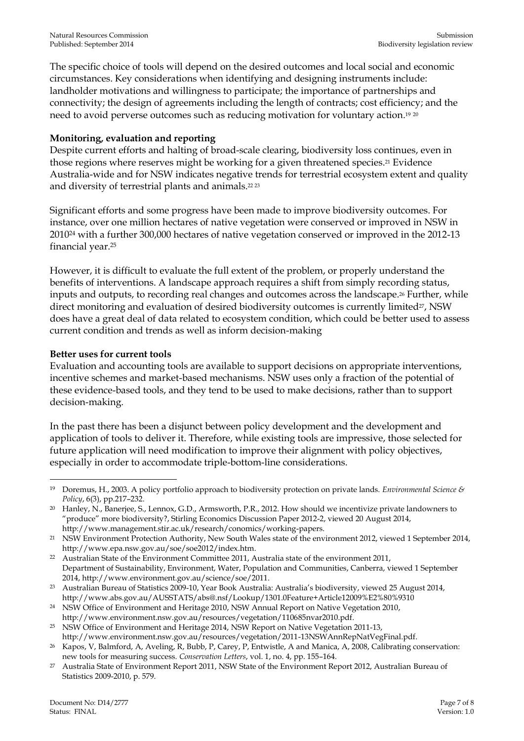The specific choice of tools will depend on the desired outcomes and local social and economic circumstances. Key considerations when identifying and designing instruments include: landholder motivations and willingness to participate; the importance of partnerships and connectivity; the design of agreements including the length of contracts; cost efficiency; and the need to avoid perverse outcomes such as reducing motivation for voluntary action.19 20

#### **Monitoring, evaluation and reporting**

Despite current efforts and halting of broad-scale clearing, biodiversity loss continues, even in those regions where reserves might be working for a given threatened species. <sup>21</sup> Evidence Australia-wide and for NSW indicates negative trends for terrestrial ecosystem extent and quality and diversity of terrestrial plants and animals. 22 23

Significant efforts and some progress have been made to improve biodiversity outcomes. For instance, over one million hectares of native vegetation were conserved or improved in NSW in 2010<sup>24</sup> with a further 300,000 hectares of native vegetation conserved or improved in the 2012-13 financial year.<sup>25</sup>

However, it is difficult to evaluate the full extent of the problem, or properly understand the benefits of interventions. A landscape approach requires a shift from simply recording status, inputs and outputs, to recording real changes and outcomes across the landscape. <sup>26</sup> Further, while direct monitoring and evaluation of desired biodiversity outcomes is currently limited<sup>27</sup>, NSW does have a great deal of data related to ecosystem condition, which could be better used to assess current condition and trends as well as inform decision-making

#### **Better uses for current tools**

Evaluation and accounting tools are available to support decisions on appropriate interventions, incentive schemes and market-based mechanisms. NSW uses only a fraction of the potential of these evidence-based tools, and they tend to be used to make decisions, rather than to support decision-making.

In the past there has been a disjunct between policy development and the development and application of tools to deliver it. Therefore, while existing tools are impressive, those selected for future application will need modification to improve their alignment with policy objectives, especially in order to accommodate triple-bottom-line considerations.

<sup>-</sup><sup>19</sup> Doremus, H., 2003. A policy portfolio approach to biodiversity protection on private lands. *Environmental Science & Policy*, 6(3), pp.217–232.

<sup>20</sup> Hanley, N., Banerjee, S., Lennox, G.D., Armsworth, P.R., 2012. How should we incentivize private landowners to "produce" more biodiversity?, Stirling Economics Discussion Paper 2012-2, viewed 20 August 2014, http://www.management.stir.ac.uk/research/conomics/working-papers.

<sup>&</sup>lt;sup>21</sup> NSW Environment Protection Authority, New South Wales state of the environment 2012, viewed 1 September 2014, http://www.epa.nsw.gov.au/soe/soe2012/index.htm.

<sup>22</sup> Australian State of the Environment Committee 2011, Australia state of the environment 2011, Department of Sustainability, Environment, Water, Population and Communities, Canberra, viewed 1 September 2014, http://www.environment.gov.au/science/soe/2011.

<sup>23</sup> Australian Bureau of Statistics 2009-10, Year Book Australia: Australia's biodiversity, viewed 25 August 2014, http://www.abs.gov.au/AUSSTATS/abs@.nsf/Lookup/1301.0Feature+Article12009%E2%80%9310

<sup>24</sup> NSW Office of Environment and Heritage 2010, NSW Annual Report on Native Vegetation 2010, http://www.environment.nsw.gov.au/resources/vegetation/110685nvar2010.pdf.

<sup>25</sup> NSW Office of Environment and Heritage 2014, NSW Report on Native Vegetation 2011-13, http://www.environment.nsw.gov.au/resources/vegetation/2011-13NSWAnnRepNatVegFinal.pdf.

<sup>26</sup> Kapos, V, Balmford, A, Aveling, R, Bubb, P, Carey, P, Entwistle, A and Manica, A, 2008, Calibrating conservation: new tools for measuring success. *Conservation Letters*, vol. 1, no. 4, pp. 155–164.

<sup>27</sup> Australia State of Environment Report 2011, NSW State of the Environment Report 2012, Australian Bureau of Statistics 2009-2010, p. 579.